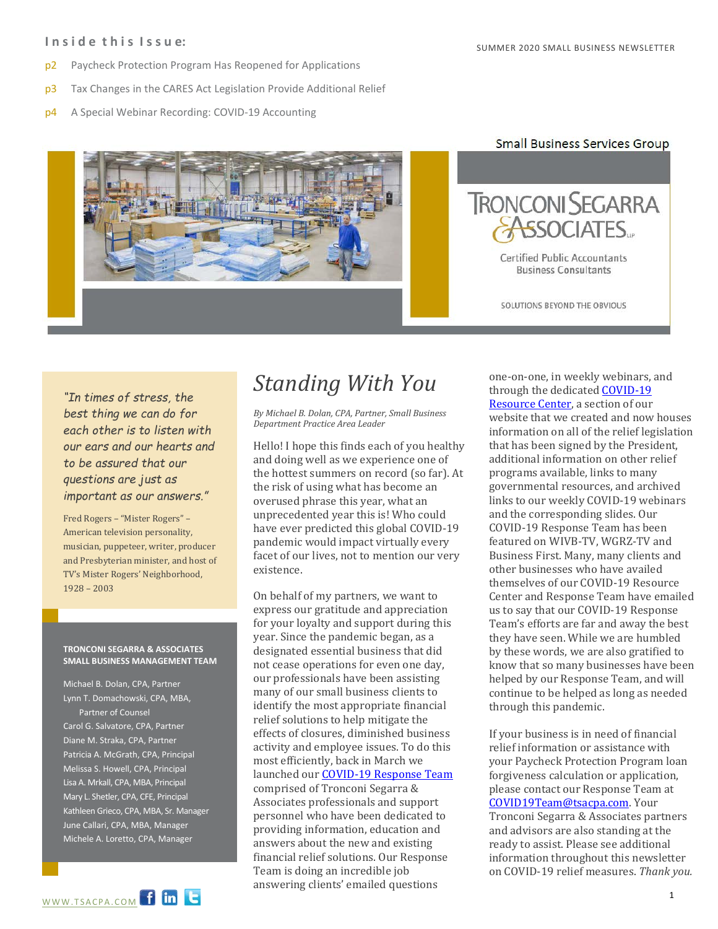### **I n s i d e t h i s I s s u e:**

- p2 Paycheck Protection Program Has Reopened for Applications
- p3 Tax Changes in the CARES Act Legislation Provide Additional Relief
- p4 A Special Webinar Recording: COVID-19 Accounting



### **Small Business Services Group**



SOLUTIONS BEYOND THE OBVIOUS

*"In times of stress, the best thing we can do for each other is to listen with our ears and our hearts and to be assured that our questions are just as important as our answers."*

Fred Rogers – "Mister Rogers" – American television personality, musician, puppeteer, writer, producer and Presbyterian minister, and host of TV's Mister Rogers' Neighborhood, 1928 – 2003

#### **TRONCONI SEGARRA & ASSOCIATES SMALL BUSINESS MANAGEMENT TEAM**

Michael B. Dolan, CPA, Partner Lynn T. Domachowski, CPA, MBA, Partner of Counsel Carol G. Salvatore, CPA, Partner Diane M. Straka, CPA, Partner Patricia A. McGrath, CPA, Principal Melissa S. Howell, CPA, Principal Lisa A. Mrkall, CPA, MBA, Principal Mary L. Shetler, CPA, CFE, Principal Kathleen Grieco, CPA, MBA, Sr. Manager June Callari, CPA, MBA, Manager Michele A. Loretto, CPA, Manager



*By Michael B. Dolan, CPA, Partner, Small Business Department Practice Area Leader*

Hello! I hope this finds each of you healthy and doing well as we experience one of the hottest summers on record (so far). At the risk of using what has become an overused phrase this year, what an unprecedented year this is! Who could have ever predicted this global COVID-19 pandemic would impact virtually every facet of our lives, not to mention our very existence.

On behalf of my partners, we want to express our gratitude and appreciation for your loyalty and support during this year. Since the pandemic began, as a designated essential business that did not cease operations for even one day, our professionals have been assisting many of our small business clients to identify the most appropriate financial relief solutions to help mitigate the effects of closures, diminished business activity and employee issues. To do this most efficiently, back in March we launched ou[r COVID-19 Response Team](mailto:COVID19Team@tsacpa.com) comprised of Tronconi Segarra & Associates professionals and support personnel who have been dedicated to providing information, education and answers about the new and existing financial relief solutions. Our Response Team is doing an incredible job answering clients' emailed questions

**Helphalt Business Clients Standing With You** one-on-one, in weekly webinars, and through the dedicated **COVID-19** through the dedicated [COVID-19](https://www.tsacpa.com/coronavirus-covid-19-resource-center/)  [Resource Center,](https://www.tsacpa.com/coronavirus-covid-19-resource-center/) a section of our website that we created and now houses information on all of the relief legislation that has been signed by the President, additional information on other relief programs available, links to many governmental resources, and archived links to our weekly COVID-19 webinars and the corresponding slides. Our COVID-19 Response Team has been featured on WIVB-TV, WGRZ-TV and Business First. Many, many clients and other businesses who have availed themselves of our COVID-19 Resource Center and Response Team have emailed us to say that our COVID-19 Response Team's efforts are far and away the best they have seen. While we are humbled by these words, we are also gratified to know that so many businesses have been helped by our Response Team, and will continue to be helped as long as needed through this pandemic.

> If your business is in need of financial relief information or assistance with your Paycheck Protection Program loan forgiveness calculation or application, please contact our Response Team at [COVID19Team@tsacpa.com.](mailto:COVID19Team@tsacpa.com) Your Tronconi Segarra & Associates partners and advisors are also standing at the ready to assist. Please see additional information throughout this newsletter on COVID-19 relief measures. *Thank you.*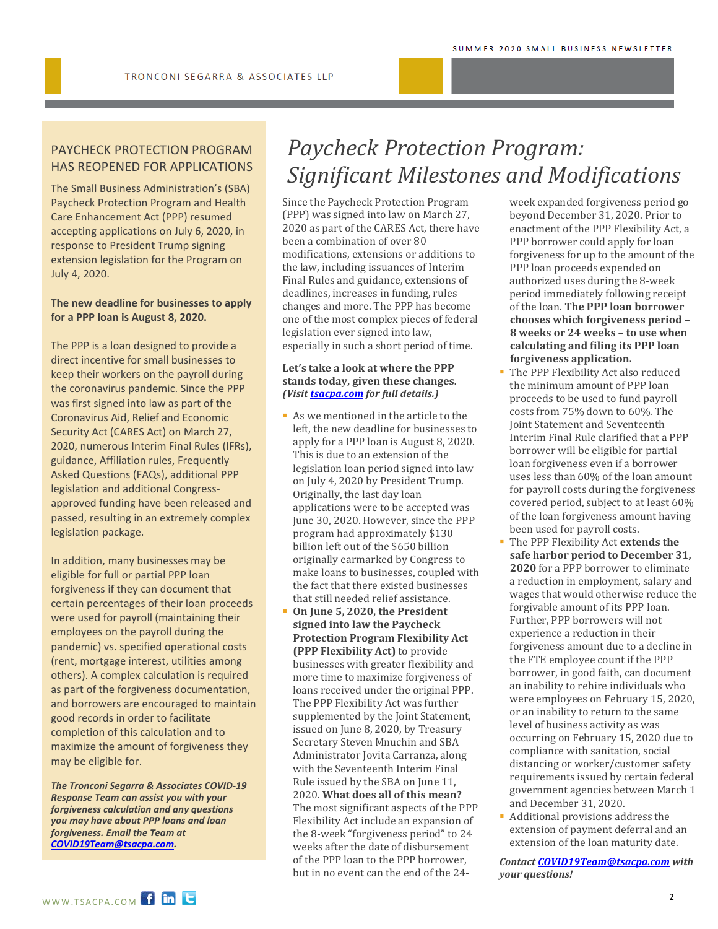### PAYCHECK PROTECTION PROGRAM HAS REOPENED FOR APPLICATIONS

The Small Business Administration's (SBA) Paycheck Protection Program and Health Care Enhancement Act (PPP) resumed accepting applications on July 6, 2020, in response to President Trump signing extension legislation for the Program on July 4, 2020.

### **The new deadline for businesses to apply for a PPP loan is August 8, 2020.**

The PPP is a loan designed to provide a direct incentive for small businesses to keep their workers on the payroll during the coronavirus pandemic. Since the PPP was first signed into law as part of the Coronavirus Aid, Relief and Economic Security Act (CARES Act) on March 27, 2020, numerous Interim Final Rules (IFRs), guidance, Affiliation rules, Frequently Asked Questions (FAQs), additional PPP legislation and additional Congressapproved funding have been released and passed, resulting in an extremely complex legislation package.

In addition, many businesses may be eligible for full or partial PPP loan forgiveness if they can document that certain percentages of their loan proceeds were used for payroll (maintaining their employees on the payroll during the pandemic) vs. specified operational costs (rent, mortgage interest, utilities among others). A complex calculation is required as part of the forgiveness documentation, and borrowers are encouraged to maintain good records in order to facilitate completion of this calculation and to maximize the amount of forgiveness they may be eligible for.

*The Tronconi Segarra & Associates COVID-19 Response Team can assist you with your forgiveness calculation and any questions you may have about PPP loans and loan forgiveness. Email the Team at [COVID19Team@tsacpa.com.](mailto:COVID19Team@tsacpa.com)* 

### *Paycheck Protection Program: Significant Milestones and Modifications*

Since the Paycheck Protection Program (PPP) was signed into law on March 27, 2020 as part of the CARES Act, there have been a combination of over 80 modifications, extensions or additions to the law, including issuances of Interim Final Rules and guidance, extensions of deadlines, increases in funding, rules changes and more. The PPP has become one of the most complex pieces of federal legislation ever signed into law, especially in such a short period of time.

### **Let's take a look at where the PPP stands today, given these changes.** *(Visi[t tsacpa.com](https://www.tsacpa.com/coronavirus-covid-19-resource-center/) for full details.)*

- As we mentioned in the article to the left, the new deadline for businesses to apply for a PPP loan is August 8, 2020. This is due to an extension of the legislation loan period signed into law on July 4, 2020 by President Trump. Originally, the last day loan applications were to be accepted was June 30, 2020. However, since the PPP program had approximately \$130 billion left out of the \$650 billion originally earmarked by Congress to make loans to businesses, coupled with the fact that there existed businesses that still needed relief assistance.
- **On June 5, 2020, the President signed into law the Paycheck Protection Program Flexibility Act (PPP Flexibility Act)** to provide businesses with greater flexibility and more time to maximize forgiveness of loans received under the original PPP. The PPP Flexibility Act was further supplemented by the Joint Statement, issued on June 8, 2020, by Treasury Secretary Steven Mnuchin and SBA Administrator Jovita Carranza, along with the Seventeenth Interim Final Rule issued by the SBA on June 11, 2020. **What does all of this mean?**  The most significant aspects of the PPP Flexibility Act include an expansion of the 8-week "forgiveness period" to 24 weeks after the date of disbursement of the PPP loan to the PPP borrower, but in no event can the end of the 24-

week expanded forgiveness period go beyond December 31, 2020. Prior to enactment of the PPP Flexibility Act, a PPP borrower could apply for loan forgiveness for up to the amount of the PPP loan proceeds expended on authorized uses during the 8-week period immediately following receipt of the loan. **The PPP loan borrower chooses which forgiveness period – 8 weeks or 24 weeks – to use when calculating and filing its PPP loan forgiveness application.**

- The PPP Flexibility Act also reduced the minimum amount of PPP loan proceeds to be used to fund payroll costs from 75% down to 60%. The Joint Statement and Seventeenth Interim Final Rule clarified that a PPP borrower will be eligible for partial loan forgiveness even if a borrower uses less than 60% of the loan amount for payroll costs during the forgiveness covered period, subject to at least 60% of the loan forgiveness amount having been used for payroll costs.
- The PPP Flexibility Act **extends the safe harbor period to December 31, 2020** for a PPP borrower to eliminate a reduction in employment, salary and wages that would otherwise reduce the forgivable amount of its PPP loan. Further, PPP borrowers will not experience a reduction in their forgiveness amount due to a decline in the FTE employee count if the PPP borrower, in good faith, can document an inability to rehire individuals who were employees on February 15, 2020, or an inability to return to the same level of business activity as was occurring on February 15, 2020 due to compliance with sanitation, social distancing or worker/customer safety requirements issued by certain federal government agencies between March 1 and December 31, 2020.
- Additional provisions address the extension of payment deferral and an extension of the loan maturity date.

*Contact [COVID19Team@tsacpa.com](mailto:COVID19Team@tsacpa.com) with your questions!*

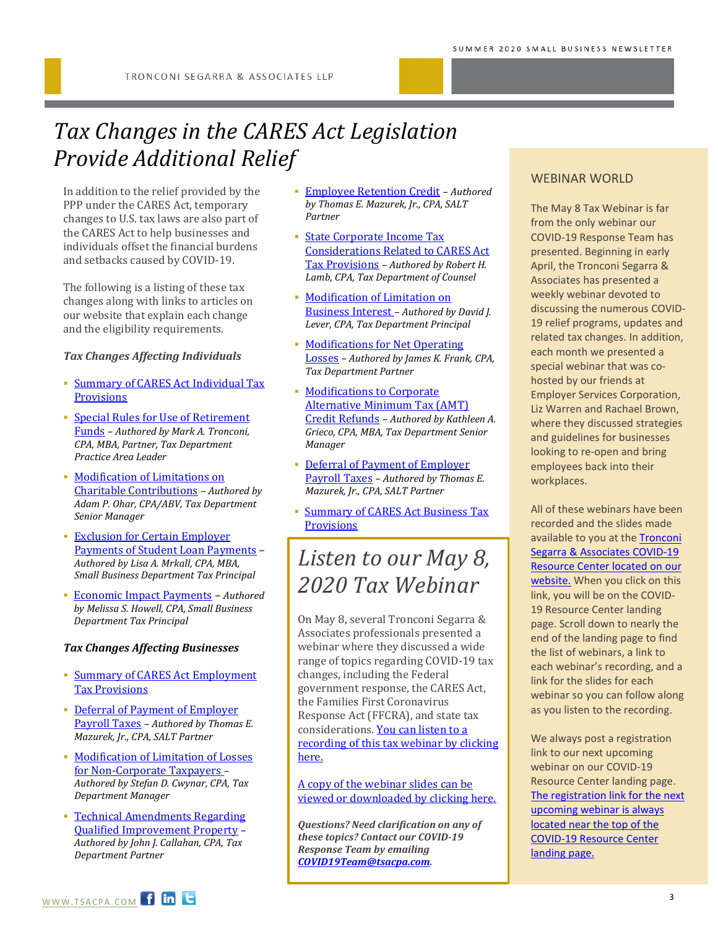# *Tax Changes in the CARES Act Legislation Provide Additional Relief*

In addition to the relief provided by the PPP under the CARES Act, temporary changes to U.S. tax laws are also part of the CARES Act to help businesses and individuals offset the financial burdens and setbacks caused by COVID-19.

The following is a listing of these tax changes along with links to articles on our website that explain each change and the eligibility requirements.

### *Tax Changes Affecting Individuals*

- [Summary of CARES Act Individual Tax](https://www.tsacpa.com/cares-act-individual-provisions/)  **[Provisions](https://www.tsacpa.com/cares-act-individual-provisions/)**
- [Special Rules for Use of Retirement](https://www.tsacpa.com/special-rules-for-use-of-retirement-funds/)  [Funds](https://www.tsacpa.com/special-rules-for-use-of-retirement-funds/) *– Authored by Mark A. Tronconi, CPA, MBA, Partner, Tax Department Practice Area Leader*
- **Modification of Limitations on** [Charitable Contributions](https://www.tsacpa.com/modification-of-limitations-on-charitable-contributions/) *– Authored by Adam P. Ohar, CPA/ABV, Tax Department Senior Manager*
- [Exclusion for Certain Employer](https://www.tsacpa.com/exclusion-for-certain-employer-payments-of-student-loan-payments/)  [Payments of Student Loan Payments](https://www.tsacpa.com/exclusion-for-certain-employer-payments-of-student-loan-payments/) – *Authored by Lisa A. Mrkall, CPA, MBA, Small Business Department Tax Principal*
- [Economic Impact Payments](https://www.tsacpa.com/economic-impact-payments/) *Authored by Melissa S. Howell, CPA, Small Business Department Tax Principal*

#### *Tax Changes Affecting Businesses*

- [Summary of CARES Act Employment](https://www.tsacpa.com/cares-act-payroll-tax-provisions/)  [Tax Provisions](https://www.tsacpa.com/cares-act-payroll-tax-provisions/)
- [Deferral of Payment of Employer](https://www.tsacpa.com/deferral-of-payment-of-employer-payroll-taxes/)  [Payroll Taxes](https://www.tsacpa.com/deferral-of-payment-of-employer-payroll-taxes/) *– Authored by Thomas E. Mazurek, Jr., CPA, SALT Partner*
- **Modification of Limitation of Losses** [for Non-Corporate Taxpayers](https://www.tsacpa.com/modification-of-limitation-of-losses-for-non-corporate-taxpayers/) *– Authored by Stefan D. Cwynar, CPA, Tax Department Manager*
- Technical Amendments Regarding [Qualified Improvement Property](https://www.tsacpa.com/technical-amendments-regarding-qualified-improvement-property/) *– Authored by John J. Callahan, CPA, Tax Department Partner*
- [Employee Retention Credit](https://www.tsacpa.com/employee-retention-credit/) *– Authored by Thomas E. Mazurek, Jr., CPA, SALT Partner*
- [State Corporate Income Tax](https://www.tsacpa.com/state-corporate-income-tax-considerations-related-to-cares-act-tax-provisions/)  [Considerations Related to CARES Act](https://www.tsacpa.com/state-corporate-income-tax-considerations-related-to-cares-act-tax-provisions/)  [Tax Provisions](https://www.tsacpa.com/state-corporate-income-tax-considerations-related-to-cares-act-tax-provisions/) *– Authored by Robert H. Lamb, CPA, Tax Department of Counsel*
- [Modification of Limitation on](https://www.tsacpa.com/modification-of-limitation-on-business-interest/)  [Business Interest](https://www.tsacpa.com/modification-of-limitation-on-business-interest/) *– Authored by David J. Lever, CPA, Tax Department Principal*
- [Modifications for Net Operating](https://www.tsacpa.com/modifications-for-net-operating-losses/)  [Losses](https://www.tsacpa.com/modifications-for-net-operating-losses/) *– Authored by James K. Frank, CPA, Tax Department Partner*
- [Modifications to Corporate](https://www.tsacpa.com/modifications-to-corporate-amt-credit-refunds/)  [Alternative Minimum Tax \(AMT\)](https://www.tsacpa.com/modifications-to-corporate-amt-credit-refunds/)  [Credit Refunds](https://www.tsacpa.com/modifications-to-corporate-amt-credit-refunds/) *– Authored by Kathleen A. Grieco, CPA, MBA, Tax Department Senior Manager*
- [Deferral of Payment of Employer](https://www.tsacpa.com/deferral-of-payment-of-employer-payroll-taxes/)  [Payroll Taxes](https://www.tsacpa.com/deferral-of-payment-of-employer-payroll-taxes/) *– Authored by Thomas E. Mazurek, Jr., CPA, SALT Partner*
- [Summary of CARES Act](https://www.tsacpa.com/cares-act-business-tax-provisions/) Business Tax **[Provisions](https://www.tsacpa.com/cares-act-business-tax-provisions/)**

# *Listen to our May 8, 2020 Tax Webinar*

On May 8, several Tronconi Segarra & Associates professionals presented a webinar where they discussed a wide range of topics regarding COVID-19 tax changes, including the Federal government response, the CARES Act, the Families First Coronavirus Response Act (FFCRA), and state tax considerations[. You can listen to a](https://register.gotowebinar.com/recording/430432820765535501)  [recording of this tax webinar by clicking](https://register.gotowebinar.com/recording/430432820765535501)  [here.](https://register.gotowebinar.com/recording/430432820765535501)

[A copy of the webinar slides can be](https://www.tsacpa.com/wp-content/uploads/2020/05/Tronconi-Segarra-Associates-LLP-COVID-19-Tax-Developments-05.08.20.pdf)  [viewed or downloaded by clicking here.](https://www.tsacpa.com/wp-content/uploads/2020/05/Tronconi-Segarra-Associates-LLP-COVID-19-Tax-Developments-05.08.20.pdf)

*Questions? Need clarification on any of these topics? Contact our COVID-19 Response Team by emailing [COVID19Team@tsacpa.com.](mailto:COVID19Team@tsacpa.com)* 

### WEBINAR WORLD

The May 8 Tax Webinar is far from the only webinar our COVID-19 Response Team has presented. Beginning in early April, the Tronconi Segarra & Associates has presented a weekly webinar devoted to discussing the numerous COVID-19 relief programs, updates and related tax changes. In addition, each month we presented a special webinar that was cohosted by our friends at Employer Services Corporation, Liz Warren and Rachael Brown, where they discussed strategies and guidelines for businesses looking to re-open and bring employees back into their workplaces.

All of these webinars have been recorded and the slides made available to you at th[e Tronconi](https://www.tsacpa.com/coronavirus-covid-19-resource-center/)  [Segarra & Associates COVID-19](https://www.tsacpa.com/coronavirus-covid-19-resource-center/)  [Resource Center located on our](https://www.tsacpa.com/coronavirus-covid-19-resource-center/)  [website.](https://www.tsacpa.com/coronavirus-covid-19-resource-center/) When you click on this link, you will be on the COVID-19 Resource Center landing page. Scroll down to nearly the end of the landing page to find the list of webinars, a link to each webinar's recording, and a link for the slides for each webinar so you can follow along as you listen to the recording.

We always post a registration link to our next upcoming webinar on our COVID-19 Resource Center landing page. [The registration link for the next](https://www.tsacpa.com/coronavirus-covid-19-resource-center/)  [upcoming webinar is always](https://www.tsacpa.com/coronavirus-covid-19-resource-center/)  [located near the top of the](https://www.tsacpa.com/coronavirus-covid-19-resource-center/)  [COVID-19 Resource Center](https://www.tsacpa.com/coronavirus-covid-19-resource-center/)  [landing page.](https://www.tsacpa.com/coronavirus-covid-19-resource-center/)